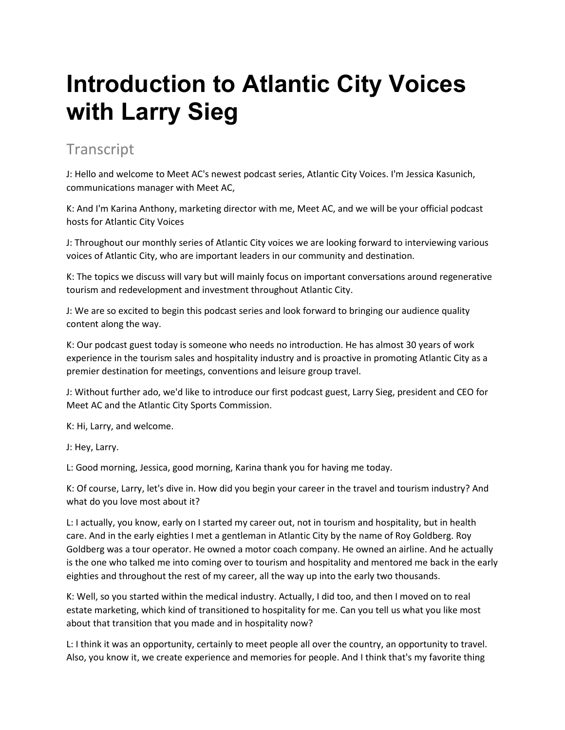## **Introduction to Atlantic City Voices with Larry Sieg**

## **Transcript**

J: Hello and welcome to Meet AC's newest podcast series, Atlantic City Voices. I'm Jessica Kasunich, communications manager with Meet AC,

K: And I'm Karina Anthony, marketing director with me, Meet AC, and we will be your official podcast hosts for Atlantic City Voices

J: Throughout our monthly series of Atlantic City voices we are looking forward to interviewing various voices of Atlantic City, who are important leaders in our community and destination.

K: The topics we discuss will vary but will mainly focus on important conversations around regenerative tourism and redevelopment and investment throughout Atlantic City.

J: We are so excited to begin this podcast series and look forward to bringing our audience quality content along the way.

K: Our podcast guest today is someone who needs no introduction. He has almost 30 years of work experience in the tourism sales and hospitality industry and is proactive in promoting Atlantic City as a premier destination for meetings, conventions and leisure group travel.

J: Without further ado, we'd like to introduce our first podcast guest, Larry Sieg, president and CEO for Meet AC and the Atlantic City Sports Commission.

K: Hi, Larry, and welcome.

J: Hey, Larry.

L: Good morning, Jessica, good morning, Karina thank you for having me today.

K: Of course, Larry, let's dive in. How did you begin your career in the travel and tourism industry? And what do you love most about it?

L: I actually, you know, early on I started my career out, not in tourism and hospitality, but in health care. And in the early eighties I met a gentleman in Atlantic City by the name of Roy Goldberg. Roy Goldberg was a tour operator. He owned a motor coach company. He owned an airline. And he actually is the one who talked me into coming over to tourism and hospitality and mentored me back in the early eighties and throughout the rest of my career, all the way up into the early two thousands.

K: Well, so you started within the medical industry. Actually, I did too, and then I moved on to real estate marketing, which kind of transitioned to hospitality for me. Can you tell us what you like most about that transition that you made and in hospitality now?

L: I think it was an opportunity, certainly to meet people all over the country, an opportunity to travel. Also, you know it, we create experience and memories for people. And I think that's my favorite thing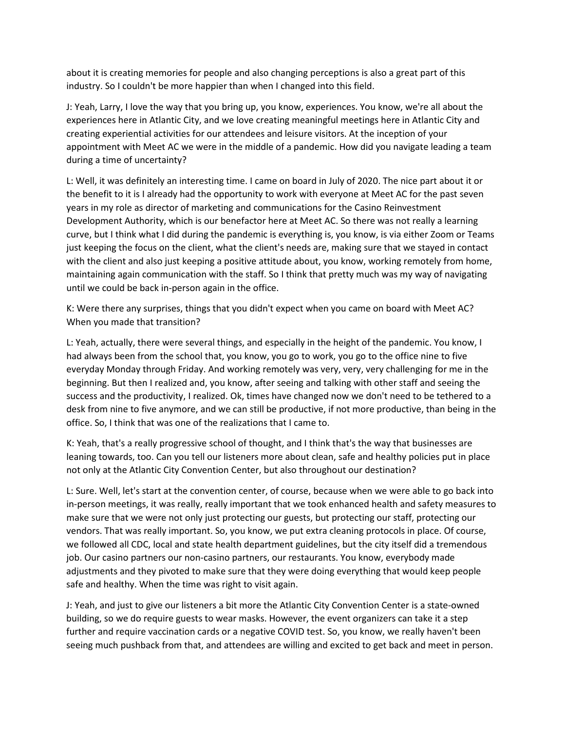about it is creating memories for people and also changing perceptions is also a great part of this industry. So I couldn't be more happier than when I changed into this field.

J: Yeah, Larry, I love the way that you bring up, you know, experiences. You know, we're all about the experiences here in Atlantic City, and we love creating meaningful meetings here in Atlantic City and creating experiential activities for our attendees and leisure visitors. At the inception of your appointment with Meet AC we were in the middle of a pandemic. How did you navigate leading a team during a time of uncertainty?

L: Well, it was definitely an interesting time. I came on board in July of 2020. The nice part about it or the benefit to it is I already had the opportunity to work with everyone at Meet AC for the past seven years in my role as director of marketing and communications for the Casino Reinvestment Development Authority, which is our benefactor here at Meet AC. So there was not really a learning curve, but I think what I did during the pandemic is everything is, you know, is via either Zoom or Teams just keeping the focus on the client, what the client's needs are, making sure that we stayed in contact with the client and also just keeping a positive attitude about, you know, working remotely from home, maintaining again communication with the staff. So I think that pretty much was my way of navigating until we could be back in-person again in the office.

K: Were there any surprises, things that you didn't expect when you came on board with Meet AC? When you made that transition?

L: Yeah, actually, there were several things, and especially in the height of the pandemic. You know, I had always been from the school that, you know, you go to work, you go to the office nine to five everyday Monday through Friday. And working remotely was very, very, very challenging for me in the beginning. But then I realized and, you know, after seeing and talking with other staff and seeing the success and the productivity, I realized. Ok, times have changed now we don't need to be tethered to a desk from nine to five anymore, and we can still be productive, if not more productive, than being in the office. So, I think that was one of the realizations that I came to.

K: Yeah, that's a really progressive school of thought, and I think that's the way that businesses are leaning towards, too. Can you tell our listeners more about clean, safe and healthy policies put in place not only at the Atlantic City Convention Center, but also throughout our destination?

L: Sure. Well, let's start at the convention center, of course, because when we were able to go back into in-person meetings, it was really, really important that we took enhanced health and safety measures to make sure that we were not only just protecting our guests, but protecting our staff, protecting our vendors. That was really important. So, you know, we put extra cleaning protocols in place. Of course, we followed all CDC, local and state health department guidelines, but the city itself did a tremendous job. Our casino partners our non-casino partners, our restaurants. You know, everybody made adjustments and they pivoted to make sure that they were doing everything that would keep people safe and healthy. When the time was right to visit again.

J: Yeah, and just to give our listeners a bit more the Atlantic City Convention Center is a state-owned building, so we do require guests to wear masks. However, the event organizers can take it a step further and require vaccination cards or a negative COVID test. So, you know, we really haven't been seeing much pushback from that, and attendees are willing and excited to get back and meet in person.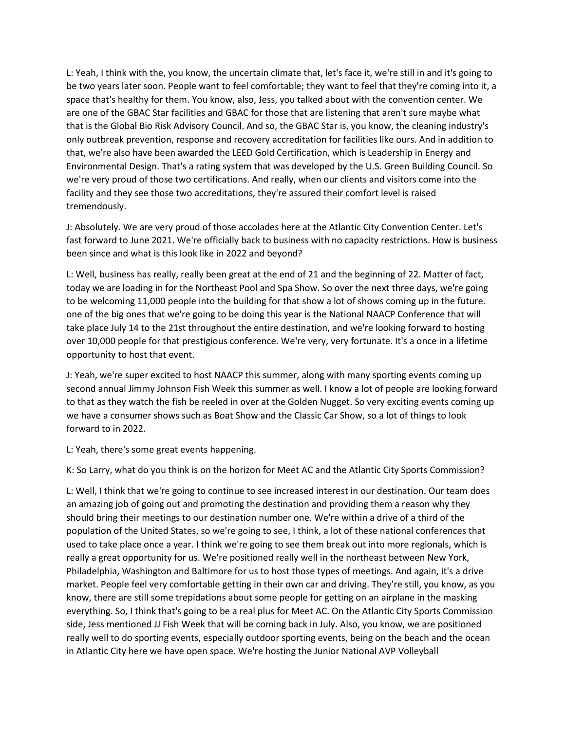L: Yeah, I think with the, you know, the uncertain climate that, let's face it, we're still in and it's going to be two years later soon. People want to feel comfortable; they want to feel that they're coming into it, a space that's healthy for them. You know, also, Jess, you talked about with the convention center. We are one of the GBAC Star facilities and GBAC for those that are listening that aren't sure maybe what that is the Global Bio Risk Advisory Council. And so, the GBAC Star is, you know, the cleaning industry's only outbreak prevention, response and recovery accreditation for facilities like ours. And in addition to that, we're also have been awarded the LEED Gold Certification, which is Leadership in Energy and Environmental Design. That's a rating system that was developed by the U.S. Green Building Council. So we're very proud of those two certifications. And really, when our clients and visitors come into the facility and they see those two accreditations, they're assured their comfort level is raised tremendously.

J: Absolutely. We are very proud of those accolades here at the Atlantic City Convention Center. Let's fast forward to June 2021. We're officially back to business with no capacity restrictions. How is business been since and what is this look like in 2022 and beyond?

L: Well, business has really, really been great at the end of 21 and the beginning of 22. Matter of fact, today we are loading in for the Northeast Pool and Spa Show. So over the next three days, we're going to be welcoming 11,000 people into the building for that show a lot of shows coming up in the future. one of the big ones that we're going to be doing this year is the National NAACP Conference that will take place July 14 to the 21st throughout the entire destination, and we're looking forward to hosting over 10,000 people for that prestigious conference. We're very, very fortunate. It's a once in a lifetime opportunity to host that event.

J: Yeah, we're super excited to host NAACP this summer, along with many sporting events coming up second annual Jimmy Johnson Fish Week this summer as well. I know a lot of people are looking forward to that as they watch the fish be reeled in over at the Golden Nugget. So very exciting events coming up we have a consumer shows such as Boat Show and the Classic Car Show, so a lot of things to look forward to in 2022.

L: Yeah, there's some great events happening.

K: So Larry, what do you think is on the horizon for Meet AC and the Atlantic City Sports Commission?

L: Well, I think that we're going to continue to see increased interest in our destination. Our team does an amazing job of going out and promoting the destination and providing them a reason why they should bring their meetings to our destination number one. We're within a drive of a third of the population of the United States, so we're going to see, I think, a lot of these national conferences that used to take place once a year. I think we're going to see them break out into more regionals, which is really a great opportunity for us. We're positioned really well in the northeast between New York, Philadelphia, Washington and Baltimore for us to host those types of meetings. And again, it's a drive market. People feel very comfortable getting in their own car and driving. They're still, you know, as you know, there are still some trepidations about some people for getting on an airplane in the masking everything. So, I think that's going to be a real plus for Meet AC. On the Atlantic City Sports Commission side, Jess mentioned JJ Fish Week that will be coming back in July. Also, you know, we are positioned really well to do sporting events, especially outdoor sporting events, being on the beach and the ocean in Atlantic City here we have open space. We're hosting the Junior National AVP Volleyball